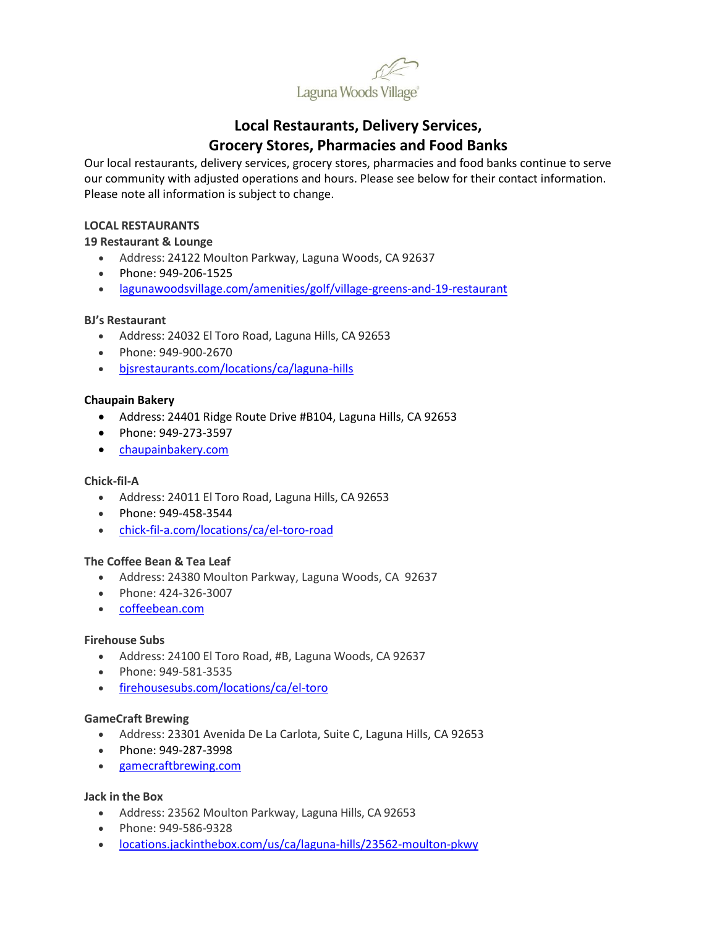

# **Local Restaurants, Delivery Services, Grocery Stores, Pharmacies and Food Banks**

Our local restaurants, delivery services, grocery stores, pharmacies and food banks continue to serve our community with adjusted operations and hours. Please see below for their contact information. Please note all information is subject to change.

# **LOCAL RESTAURANTS**

# **19 Restaurant & Lounge**

- Address: 24122 Moulton Parkway, Laguna Woods, CA 92637
- Phone: 949-206-1525
- [lagunawoodsvillage.com/amenities/golf/village-greens-and-19-restaurant](https://www.lagunawoodsvillage.com/amenities/golf/village-greens-and-19-restaurant#divider)

# **BJ's Restaurant**

- Address: 24032 El Toro Road, Laguna Hills, CA 92653
- Phone: 949-900-2670
- [bjsrestaurants.com/locations/ca/laguna-hills](https://www.bjsrestaurants.com/locations/ca/laguna-hills)

# **Chaupain Bakery**

- Address: 24401 Ridge Route Drive #B104, Laguna Hills, CA 92653
- Phone: 949-273-3597
- [chaupainbakery.com](http://www.chaupainbakery.com/)

#### **Chick-fil-A**

- Address: 24011 El Toro Road, Laguna Hills, CA 92653
- Phone: 949-458-3544
- [chick-fil-a.com/locations/ca/el-toro-road](https://www.chick-fil-a.com/locations/ca/el-toro-road)

#### **The Coffee Bean & Tea Leaf**

- Address: 24380 Moulton Parkway, Laguna Woods, CA 92637
- Phone: 424-326-3007
- [coffeebean.com](https://www.coffeebean.com/)

#### **Firehouse Subs**

- Address: 24100 El Toro Road, #B, Laguna Woods, CA 92637
- Phone: 949-581-3535
- [firehousesubs.com/locations/ca/el-toro](https://www.firehousesubs.com/locations/ca/el-toro/)

#### **GameCraft Brewing**

- Address: 23301 Avenida De La Carlota, Suite C, Laguna Hills, CA 92653
- Phone: 949-287-3998
- [gamecraftbrewing.com](https://www.gamecraftbrewing.com/)

#### **Jack in the Box**

- Address: 23562 Moulton Parkway, Laguna Hills, CA 92653
- Phone: 949-586-9328
- [locations.jackinthebox.com/us/ca/laguna-hills/23562-moulton-pkwy](https://locations.jackinthebox.com/us/ca/laguna-hills/23562-moulton-pkwy)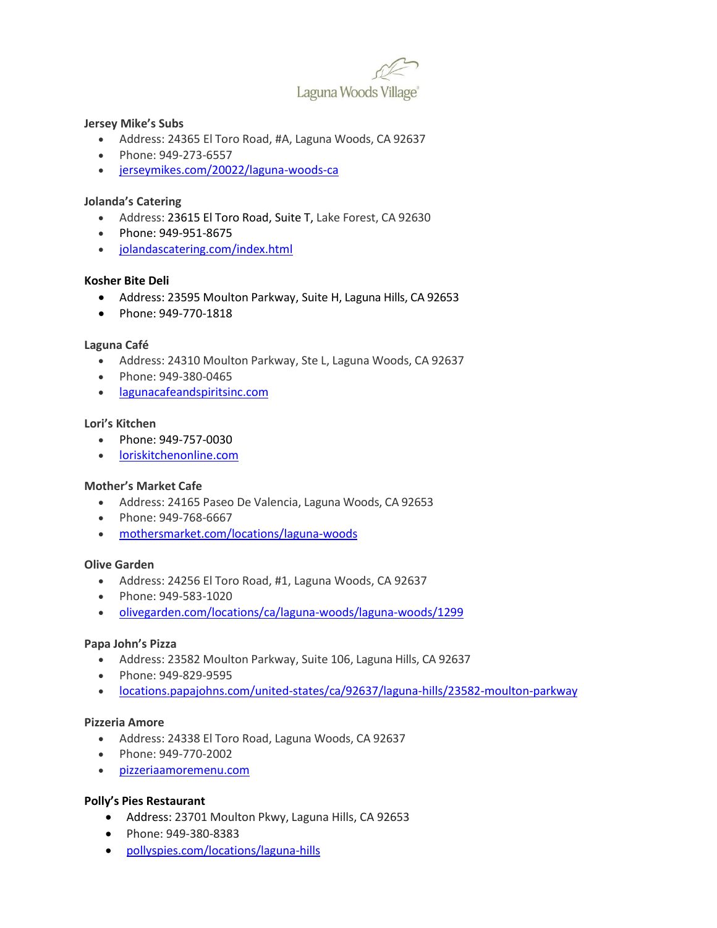

# **Jersey Mike's Subs**

- Address: 24365 El Toro Road, #A, Laguna Woods, CA 92637
- Phone: 949-273-6557
- [jerseymikes.com/20022/laguna-woods-ca](https://www.jerseymikes.com/20022/laguna-woods-ca)

# **Jolanda's Catering**

- Address: 23615 El Toro Road, Suite T, Lake Forest, CA 92630
- Phone: 949-951-8675
- [jolandascatering.com/index.html](https://www.jolandascatering.com/index.html)

# **Kosher Bite Deli**

- Address: 23595 Moulton Parkway, Suite H, Laguna Hills, CA 92653
- Phone: 949-770-1818

# **Laguna Café**

- Address: 24310 Moulton Parkway, Ste L, Laguna Woods, CA 92637
- Phone: 949-380-0465
- [lagunacafeandspiritsinc.com](http://ww1.lagunacafeandspiritsinc.com/)

# **Lori's Kitchen**

- Phone: 949-757-0030
- [loriskitchenonline.com](https://loriskitchenonline.com/)

# **Mother's Market Cafe**

- Address: 24165 Paseo De Valencia, Laguna Woods, CA 92653
- Phone: 949-768-6667
- [mothersmarket.com/locations/laguna-woods](https://www.mothersmarket.com/locations/laguna-woods)

#### **Olive Garden**

- Address: 24256 El Toro Road, #1, Laguna Woods, CA 92637
- Phone: 949-583-1020
- [olivegarden.com/locations/ca/laguna-woods/laguna-woods/1299](https://www.olivegarden.com/locations/ca/laguna-woods/laguna-woods/1299)

#### **Papa John's Pizza**

- Address: 23582 Moulton Parkway, Suite 106, Laguna Hills, CA 92637
- Phone: 949-829-9595
- [locations.papajohns.com/united-states/ca/92637/laguna-hills/23582-moulton-parkway](https://locations.papajohns.com/united-states/ca/92637/laguna-hills/23582-moulton-parkway)

# **Pizzeria Amore**

- Address: 24338 El Toro Road, Laguna Woods, CA 92637
- Phone: 949-770-2002
- [pizzeriaamoremenu.com](https://www.pizzeriaamoremenu.com/)

#### **Polly's Pies Restaurant**

- Address: 23701 Moulton Pkwy, Laguna Hills, CA 92653
- Phone: 949-380-8383
- [pollyspies.com/locations/laguna-hills](https://www.pollyspies.com/locations/laguna-hills/)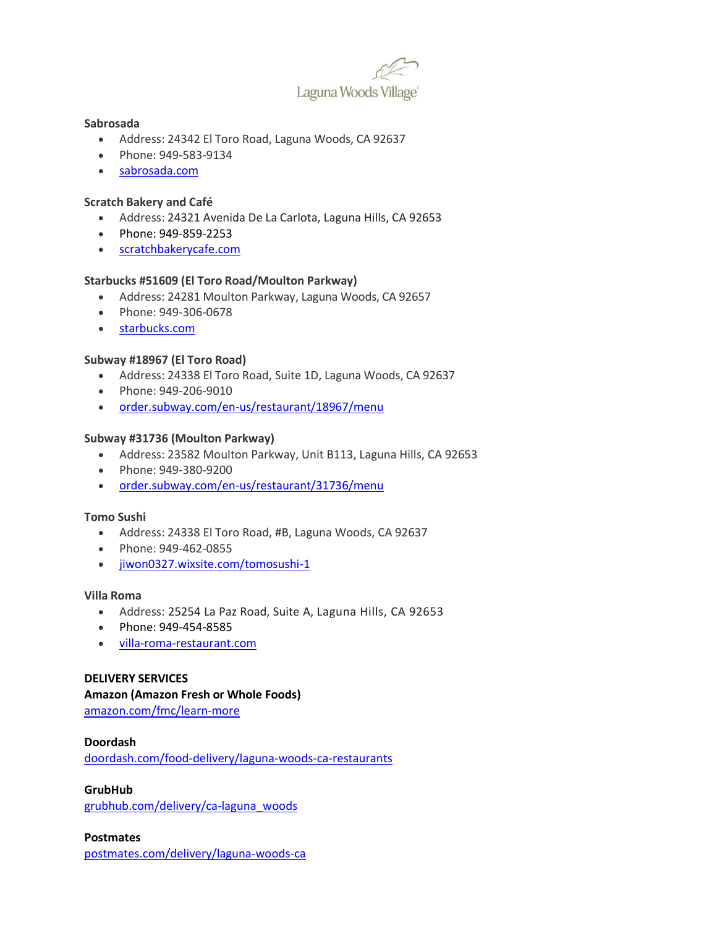

# **Sabrosada**

- Address: 24342 El Toro Road, Laguna Woods, CA 92637
- Phone: 949-583-9134
- [sabrosada.com](http://www.sabrosada.com/)

# **Scratch Bakery and Café**

- Address: 24321 Avenida De La Carlota, Laguna Hills, CA 92653
- Phone: 949-859-2253
- [scratchbakerycafe.com](https://www.scratchbakerycafe.com/)

# **Starbucks #51609 (El Toro Road/Moulton Parkway)**

- Address: 24281 Moulton Parkway, Laguna Woods, CA 92657
- Phone: 949-306-0678
- [starbucks.com](https://www.starbucks.com/)

# **Subway #18967 (El Toro Road)**

- Address: 24338 El Toro Road, Suite 1D, Laguna Woods, CA 92637
- Phone: 949-206-9010
- [order.subway.com/en-us/restaurant/18967/menu](https://order.subway.com/en-us/restaurant/18967/menu/)

# **Subway #31736 (Moulton Parkway)**

- Address: 23582 Moulton Parkway, Unit B113, Laguna Hills, CA 92653
- Phone: 949-380-9200
- [order.subway.com/en-us/restaurant/31736/menu](https://order.subway.com/en-us/restaurant/31736/menu/)

#### **Tomo Sushi**

- Address: 24338 El Toro Road, #B, Laguna Woods, CA 92637
- Phone: 949-462-0855
- [jiwon0327.wixsite.com/tomosushi-1](https://jiwon0327.wixsite.com/tomosushi-1)

#### **Villa Roma**

- Address: 25254 La Paz Road, Suite A, Laguna Hills, CA 92653
- Phone: 949-454-8585
- [villa-roma-restaurant.com](https://villa-roma-restaurant.com/)

# **DELIVERY SERVICES**

#### **Amazon (Amazon Fresh or Whole Foods)**

[amazon.com/fmc/learn-more](https://www.amazon.com/fmc/learn-more)

#### **Doordash**

[doordash.com/food-delivery/laguna-woods-ca-restaurants](https://www.doordash.com/food-delivery/laguna-woods-ca-restaurants/)

#### **GrubHub**

[grubhub.com/delivery/ca-laguna\\_woods](https://www.grubhub.com/delivery/ca-laguna_woods)

#### **Postmates**

[postmates.com/delivery/laguna-woods-ca](https://postmates.com/delivery/laguna-woods-ca)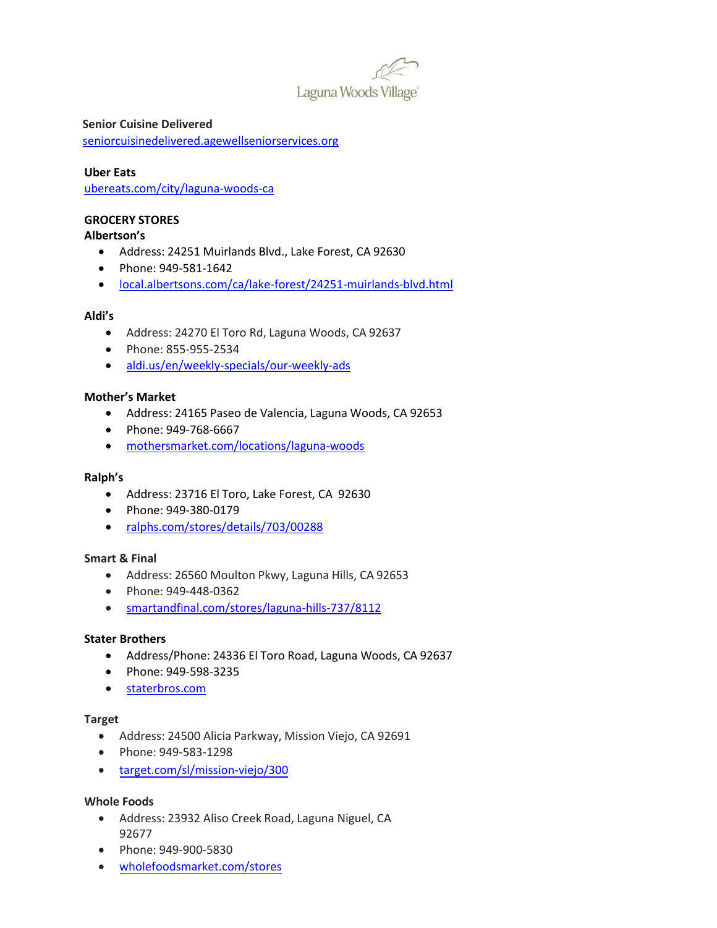

**Senior Cuisine Delivered** [seniorcuisinedelivered.agewellseniorservices.org](https://seniorcuisinedelivered.agewellseniorservices.org/)

# **Uber Eats**

[ubereats.com/city/laguna-woods-ca](https://www.ubereats.com/city/laguna-woods-ca)

# **GROCERY STORES**

# **Albertson's**

- Address: 24251 Muirlands Blvd., Lake Forest, CA 92630
- Phone: 949-581-1642
- [local.albertsons.com/ca/lake-forest/24251-muirlands-blvd.html](https://local.albertsons.com/ca/lake-forest/24251-muirlands-blvd.html)

#### **Aldi's**

- Address: 24270 El Toro Rd, Laguna Woods, CA 92637
- Phone: 855-955-2534
- [aldi.us/en/weekly-specials/our-weekly-ads](https://www.aldi.us/en/weekly-specials/our-weekly-ads/)

# **Mother's Market**

- Address: 24165 Paseo de Valencia, Laguna Woods, CA 92653
- Phone: 949-768-6667
- [mothersmarket.com/locations/laguna-woods](https://www.mothersmarket.com/locations/laguna-woods)

#### **Ralph's**

- Address: 23716 El Toro, Lake Forest, CA 92630
- Phone: 949-380-0179
- [ralphs.com/stores/details/703/00288](https://www.ralphs.com/stores/details/703/00288)

#### **Smart & Final**

- Address: 26560 Moulton Pkwy, Laguna Hills, CA 92653
- Phone: 949-448-0362
- [smartandfinal.com/stores/laguna-hills-737/8112](https://www.smartandfinal.com/stores/laguna-hills-737/8112)

#### **Stater Brothers**

- Address/Phone: 24336 El Toro Road, Laguna Woods, CA 92637
- Phone: 949-598-3235
- [staterbros.com](https://www.staterbros.com/)

#### **Target**

- Address: 24500 Alicia Parkway, Mission Viejo, CA 92691
- Phone: 949-583-1298
- [target.com/sl/mission-viejo/300](https://www.target.com/sl/mission-viejo/300)

#### **Whole Foods**

- Address: 23932 Aliso Creek Road, Laguna Niguel, CA 92677
- [Phone: 949-900-](https://www.wholefoodsmarket.com/stores/5830lagunaniguel)5830
- [wholefoodsmarket.com/stores](https://www.wholefoodsmarket.com/stores)